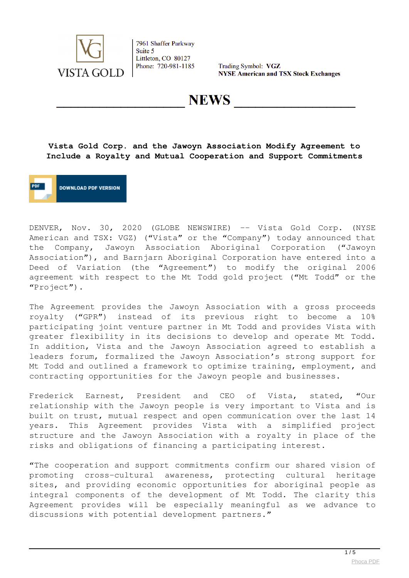

Trading Symbol: VGZ **NYSE American and TSX Stock Exchanges** 

**NEWS** 

**Vista Gold Corp. and the Jawoyn Association Modify Agreement to Include a Royalty and Mutual Cooperation and Support Commitments**

# **DOWNLOAD PDF VERSION**

DENVER, Nov. 30, 2020 (GLOBE NEWSWIRE) -- Vista Gold Corp. (NYSE American and TSX: VGZ) ("Vista" or the "Company") today announced that the Company, Jawoyn Association Aboriginal Corporation ("Jawoyn Association"), and Barnjarn Aboriginal Corporation have entered into a Deed of Variation (the "Agreement") to modify the original 2006 agreement with respect to the Mt Todd gold project ("Mt Todd" or the "Project").

The Agreement provides the Jawoyn Association with a gross proceeds royalty ("GPR") instead of its previous right to become a 10% participating joint venture partner in Mt Todd and provides Vista with greater flexibility in its decisions to develop and operate Mt Todd. In addition, Vista and the Jawoyn Association agreed to establish a leaders forum, formalized the Jawoyn Association's strong support for Mt Todd and outlined a framework to optimize training, employment, and contracting opportunities for the Jawoyn people and businesses.

Frederick Earnest, President and CEO of Vista, stated, "Our relationship with the Jawoyn people is very important to Vista and is built on trust, mutual respect and open communication over the last 14 years. This Agreement provides Vista with a simplified project structure and the Jawoyn Association with a royalty in place of the risks and obligations of financing a participating interest.

"The cooperation and support commitments confirm our shared vision of promoting cross-cultural awareness, protecting cultural heritage sites, and providing economic opportunities for aboriginal people as integral components of the development of Mt Todd. The clarity this Agreement provides will be especially meaningful as we advance to discussions with potential development partners."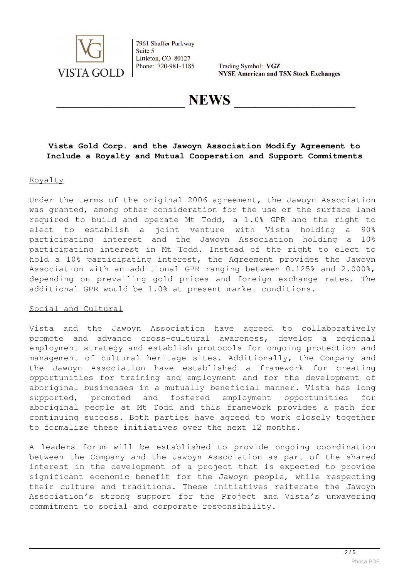

Trading Symbol: VGZ **NYSE American and TSX Stock Exchanges** 

**NEWS** 

## **Vista Gold Corp. and the Jawoyn Association Modify Agreement to Include a Royalty and Mutual Cooperation and Support Commitments**

## Royalty

Under the terms of the original 2006 agreement, the Jawoyn Association was granted, among other consideration for the use of the surface land required to build and operate Mt Todd, a 1.0% GPR and the right to elect to establish a joint venture with Vista holding a 90% participating interest and the Jawoyn Association holding a 10% participating interest in Mt Todd. Instead of the right to elect to hold a 10% participating interest, the Agreement provides the Jawoyn Association with an additional GPR ranging between 0.125% and 2.000%, depending on prevailing gold prices and foreign exchange rates. The additional GPR would be 1.0% at present market conditions.

### Social and Cultural

Vista and the Jawoyn Association have agreed to collaboratively promote and advance cross-cultural awareness, develop a regional employment strategy and establish protocols for ongoing protection and management of cultural heritage sites. Additionally, the Company and the Jawoyn Association have established a framework for creating opportunities for training and employment and for the development of aboriginal businesses in a mutually beneficial manner. Vista has long supported, promoted and fostered employment opportunities for aboriginal people at Mt Todd and this framework provides a path for continuing success. Both parties have agreed to work closely together to formalize these initiatives over the next 12 months.

A leaders forum will be established to provide ongoing coordination between the Company and the Jawoyn Association as part of the shared interest in the development of a project that is expected to provide significant economic benefit for the Jawoyn people, while respecting their culture and traditions. These initiatives reiterate the Jawoyn Association's strong support for the Project and Vista's unwavering commitment to social and corporate responsibility.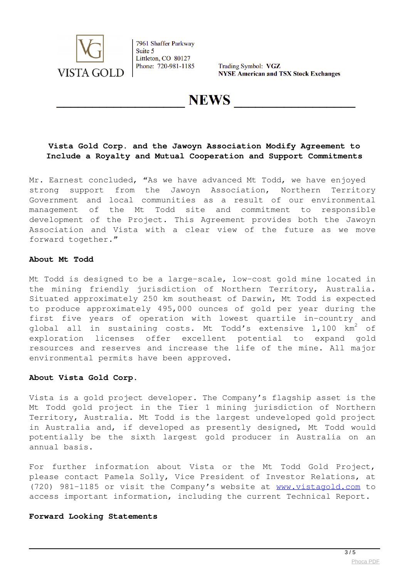

Trading Symbol: VGZ **NYSE American and TSX Stock Exchanges** 

**NEWS** 

## **Vista Gold Corp. and the Jawoyn Association Modify Agreement to Include a Royalty and Mutual Cooperation and Support Commitments**

Mr. Earnest concluded, "As we have advanced Mt Todd, we have enjoyed strong support from the Jawoyn Association, Northern Territory Government and local communities as a result of our environmental management of the Mt Todd site and commitment to responsible development of the Project. This Agreement provides both the Jawoyn Association and Vista with a clear view of the future as we move forward together."

### **About Mt Todd**

Mt Todd is designed to be a large-scale, low-cost gold mine located in the mining friendly jurisdiction of Northern Territory, Australia. Situated approximately 250 km southeast of Darwin, Mt Todd is expected to produce approximately 495,000 ounces of gold per year during the first five years of operation with lowest quartile in-country and global all in sustaining costs. Mt Todd's extensive 1,100  $\text{km}^2$  of exploration licenses offer excellent potential to expand gold resources and reserves and increase the life of the mine. All major environmental permits have been approved.

### **About Vista Gold Corp.**

Vista is a gold project developer. The Company's flagship asset is the Mt Todd gold project in the Tier 1 mining jurisdiction of Northern Territory, Australia. Mt Todd is the largest undeveloped gold project in Australia and, if developed as presently designed, Mt Todd would potentially be the sixth largest gold producer in Australia on an annual basis.

For further information about Vista or the Mt Todd Gold Project, please contact Pamela Solly, Vice President of Investor Relations, at (720) 981-1185 or visit the Company's website at [www.vistagold.com](https://www.globenewswire.com/Tracker?data=PLKsJ1ibMT3Ct6V31qrNpo3cuuwIjoP_-MwW9mmg_y1-Y_xDS56P2qbVUQhlU_RC0-1APpoqcbJGMdzZAceDCw==) to access important information, including the current Technical Report.

#### **Forward Looking Statements**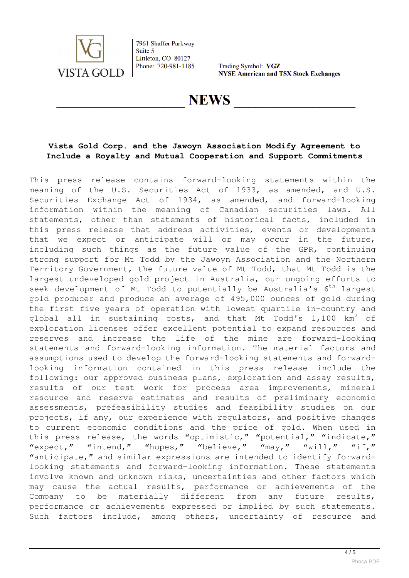

Trading Symbol: VGZ **NYSE American and TSX Stock Exchanges** 

**NEWS** 

## **Vista Gold Corp. and the Jawoyn Association Modify Agreement to Include a Royalty and Mutual Cooperation and Support Commitments**

This press release contains forward-looking statements within the meaning of the U.S. Securities Act of 1933, as amended, and U.S. Securities Exchange Act of 1934, as amended, and forward-looking information within the meaning of Canadian securities laws. All statements, other than statements of historical facts, included in this press release that address activities, events or developments that we expect or anticipate will or may occur in the future, including such things as the future value of the GPR, continuing strong support for Mt Todd by the Jawoyn Association and the Northern Territory Government, the future value of Mt Todd, that Mt Todd is the largest undeveloped gold project in Australia, our ongoing efforts to seek development of Mt Todd to potentially be Australia's  $6^{th}$  largest gold producer and produce an average of 495,000 ounces of gold during the first five years of operation with lowest quartile in-country and global all in sustaining costs, and that Mt Todd's 1,100  $\text{km}^2$  of exploration licenses offer excellent potential to expand resources and reserves and increase the life of the mine are forward-looking statements and forward-looking information. The material factors and assumptions used to develop the forward-looking statements and forwardlooking information contained in this press release include the following: our approved business plans, exploration and assay results, results of our test work for process area improvements, mineral resource and reserve estimates and results of preliminary economic assessments, prefeasibility studies and feasibility studies on our projects, if any, our experience with regulators, and positive changes to current economic conditions and the price of gold. When used in this press release, the words "optimistic," "potential," "indicate," "expect," "intend," "hopes," "believe," "may," "will," "if," "anticipate," and similar expressions are intended to identify forwardlooking statements and forward-looking information. These statements involve known and unknown risks, uncertainties and other factors which may cause the actual results, performance or achievements of the Company to be materially different from any future results, performance or achievements expressed or implied by such statements. Such factors include, among others, uncertainty of resource and